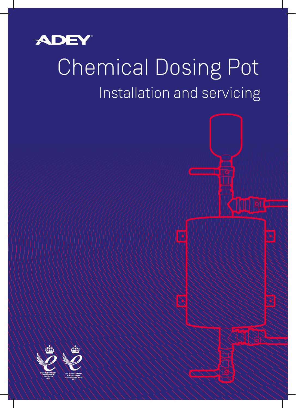

# Installation and servicing Chemical Dosing Pot

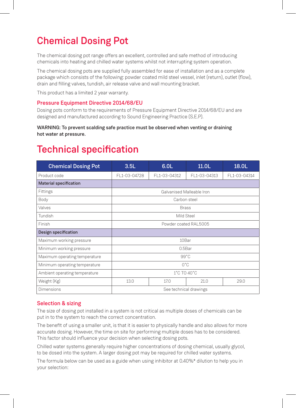# Chemical Dosing Pot

The chemical dosing pot range offers an excellent, controlled and safe method of introducing chemicals into heating and chilled water systems whilst not interrupting system operation.

The chemical dosing pots are supplied fully assembled for ease of installation and as a complete package which consists of the following: powder coated mild steel vessel, inlet (return), outlet (flow), drain and filling valves, tundish, air release valve and wall mounting bracket.

This product has a limited 2 year warranty.

#### Pressure Equipment Directive 2014/68/EU

Dosing pots conform to the requirements of Pressure Equipment Directive 2014/68/EU and are designed and manufactured according to Sound Engineering Practice (S.E.P).

#### WARNING: To prevent scalding safe practice must be observed when venting or draining hot water at pressure.

### Technical specification

| <b>Chemical Dosing Pot</b>    | 3.5L                      | 6.0L         | 11.0 <sub>L</sub> | 18.0L        |  |  |  |
|-------------------------------|---------------------------|--------------|-------------------|--------------|--|--|--|
| Product code                  | FL1-03-04728              | FL1-03-04312 | FL1-03-04313      | FL1-03-04314 |  |  |  |
| <b>Material specification</b> |                           |              |                   |              |  |  |  |
| Fittings                      | Galvanised Malleable Iron |              |                   |              |  |  |  |
| Body                          | Carbon steel              |              |                   |              |  |  |  |
| Valves                        | <b>Brass</b>              |              |                   |              |  |  |  |
| Tundish                       | Mild Steel                |              |                   |              |  |  |  |
| Finish                        | Powder coated RAL5005     |              |                   |              |  |  |  |
| Design specification          |                           |              |                   |              |  |  |  |
| Maximum working pressure      | 10Bar                     |              |                   |              |  |  |  |
| Minimum working pressure      | 0.5Bar                    |              |                   |              |  |  |  |
| Maximum operating temperature | $99^{\circ}$ C            |              |                   |              |  |  |  |
| Minimum operating temperature | $0^{\circ}$ C             |              |                   |              |  |  |  |
| Ambient operating temperature | 1°C TO 40°C               |              |                   |              |  |  |  |
| Weight (Kg)                   | 13.0                      | 17.0         | 21.0              | 29.0         |  |  |  |
| <b>Dimensions</b>             | See technical drawings    |              |                   |              |  |  |  |

#### Selection & sizing

The size of dosing pot installed in a system is not critical as multiple doses of chemicals can be put in to the system to reach the correct concentration.

The benefit of using a smaller unit, is that it is easier to physically handle and also allows for more accurate dosing. However, the time on site for performing multiple doses has to be considered. This factor should influence your decision when selecting dosing pots.

Chilled water systems generally require higher concentrations of dosing chemical, usually glycol, to be dosed into the system. A larger dosing pot may be required for chilled water systems.

The formula below can be used as a guide when using inhibitor at 0.40%\* dilution to help you in your selection: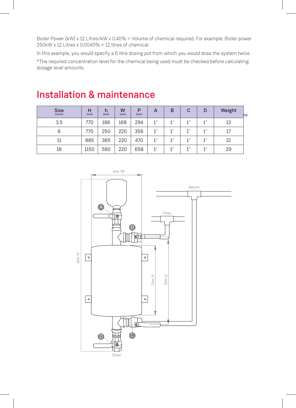Boiler Power (kW) x 12 Litres/kW x 0.40% = Volume of chemical required. For example: Boiler power 250kW x 12 Litres x 0.0040% = 12 litres of chemical.

In this example, you would specify a 6 litre dosing pot from which you would dose the system twice.

\*The required concentration level for the chemical being used must be checked before calculating dosage level amounts.

| <b>Size</b><br>(Litres) | н<br>(mm) | h<br>(mm) | W<br>(mm) | P<br>(mm) | A  | B    | C    | D    | Weight<br>(Kg) |
|-------------------------|-----------|-----------|-----------|-----------|----|------|------|------|----------------|
| 3.5                     | 770       | 186       | 168       | 294       | 1" | 4.91 | 4.0  | 1"   | 13             |
| 6                       | 770       | 250       | 220       | 356       | 1" | 1"   | 4.11 | 1"   | 17             |
| 11                      | 885       | 365       | 220       | 470       | 1" | 1"   | 1"   | 1 !! | 21             |
| 18                      | 1150      | 590       | 220       | 658       | 1" | 1"   | 1"   | 1 !! | 29             |

### Installation & maintenance

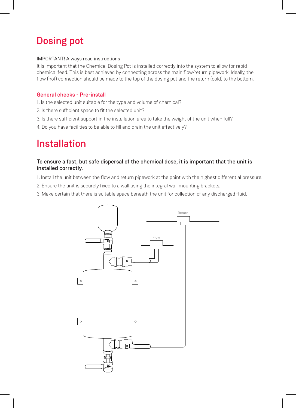# Dosing pot

#### IMPORTANT! Always read instructions

It is important that the Chemical Dosing Pot is installed correctly into the system to allow for rapid chemical feed. This is best achieved by connecting across the main flow/return pipework. Ideally, the flow (hot) connection should be made to the top of the dosing pot and the return (cold) to the bottom.

#### General checks - Pre-install

- 1. Is the selected unit suitable for the type and volume of chemical?
- 2. Is there sufficient space to fit the selected unit?
- 3. Is there sufficient support in the installation area to take the weight of the unit when full?
- 4. Do you have facilities to be able to fill and drain the unit effectively?

### Installation

#### To ensure a fast, but safe dispersal of the chemical dose, it is important that the unit is installed correctly.

- 1. Install the unit between the flow and return pipework at the point with the highest differential pressure.
- 2. Ensure the unit is securely fixed to a wall using the integral wall mounting brackets.
- 3. Make certain that there is suitable space beneath the unit for collection of any discharged fluid.

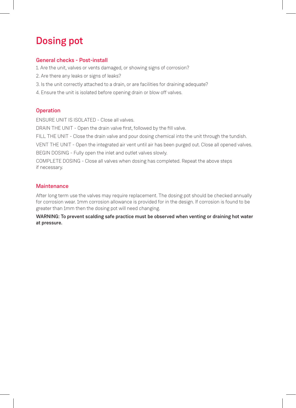# Dosing pot

#### General checks - Post-install

- 1. Are the unit, valves or vents damaged, or showing signs of corrosion?
- 2. Are there any leaks or signs of leaks?
- 3. Is the unit correctly attached to a drain, or are facilities for draining adequate?
- 4. Ensure the unit is isolated before opening drain or blow off valves.

#### **Operation**

ENSURE UNIT IS ISOLATED - Close all valves.

DRAIN THE UNIT - Open the drain valve first, followed by the fill valve.

FILL THE UNIT - Close the drain valve and pour dosing chemical into the unit through the tundish.

VENT THE UNIT - Open the integrated air vent until air has been purged out. Close all opened valves.

BEGIN DOSING - Fully open the inlet and outlet valves slowly.

COMPLETE DOSING - Close all valves when dosing has completed. Repeat the above steps if necessary.

#### **Maintenance**

After long term use the valves may require replacement. The dosing pot should be checked annually for corrosion wear. 1mm corrosion allowance is provided for in the design. If corrosion is found to be greater than 1mm then the dosing pot will need changing.

WARNING: To prevent scalding safe practice must be observed when venting or draining hot water at pressure.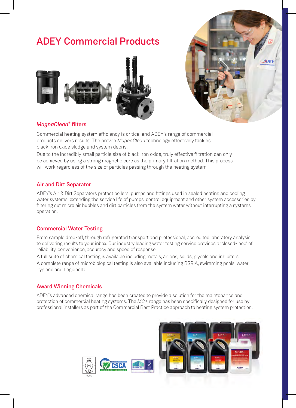### ADEY Commercial Products





#### *MagnaClean*® filters

Commercial heating system efficiency is critical and ADEY's range of commercial products delivers results. The proven *MagnaClean* technology effectively tackles black iron oxide sludge and system debris.

Due to the incredibly small particle size of black iron oxide, truly effective filtration can only be achieved by using a strong magnetic core as the primary filtration method. This process will work regardless of the size of particles passing through the heating system.

#### Air and Dirt Separator

ADEY's Air & Dirt Separators protect boilers, pumps and fittings used in sealed heating and cooling water systems, extending the service life of pumps, control equipment and other system accessories by filtering out micro air bubbles and dirt particles from the system water without interrupting a systems operation.

#### Commercial Water Testing

From sample drop-off, through refrigerated transport and professional, accredited laboratory analysis to delivering results to your inbox. Our industry leading water testing service provides a 'closed-loop' of reliability, convenience, accuracy and speed of response.

A full suite of chemical testing is available including metals, anions, solids, glycols and inhibitors. A complete range of microbiological testing is also available including BSRIA, swimming pools, water hygiene and Legionella.

#### Award Winning Chemicals

ADEY's advanced chemical range has been created to provide a solution for the maintenance and protection of commercial heating systems. The *MC+* range has been specifically designed for use by professional installers as part of the Commercial Best Practice approach to heating system protection.